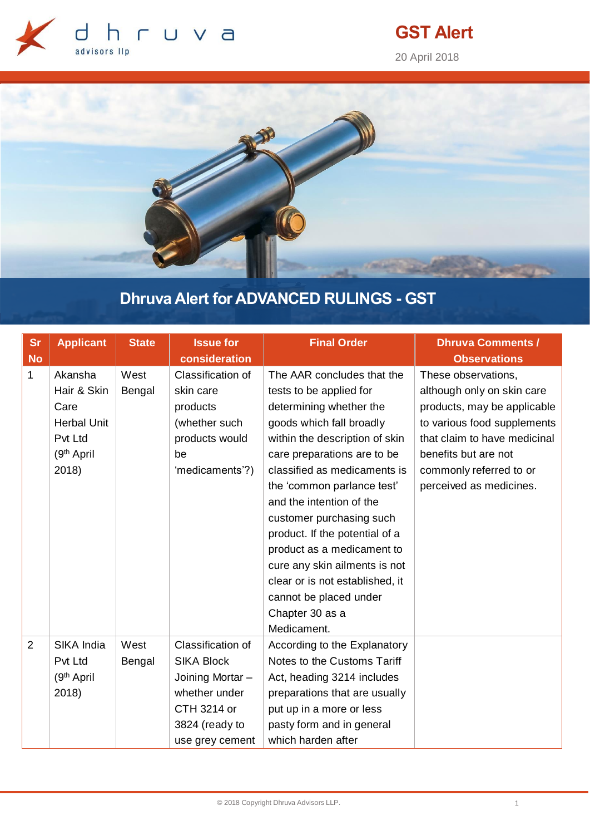

# **GST Alert**

20 April 2018



# **Dhruva Alert for ADVANCED RULINGS - GST**

| <b>Sr</b>      | <b>Applicant</b>       | <b>State</b> | <b>Issue for</b>  | <b>Final Order</b>              | <b>Dhruva Comments /</b>     |
|----------------|------------------------|--------------|-------------------|---------------------------------|------------------------------|
| <b>No</b>      |                        |              | consideration     |                                 | <b>Observations</b>          |
| $\mathbf 1$    | Akansha                | West         | Classification of | The AAR concludes that the      | These observations,          |
|                | Hair & Skin            | Bengal       | skin care         | tests to be applied for         | although only on skin care   |
|                | Care                   |              | products          | determining whether the         | products, may be applicable  |
|                | <b>Herbal Unit</b>     |              | (whether such     | goods which fall broadly        | to various food supplements  |
|                | Pvt Ltd                |              | products would    | within the description of skin  | that claim to have medicinal |
|                | (9 <sup>th</sup> April |              | be                | care preparations are to be     | benefits but are not         |
|                | 2018)                  |              | 'medicaments'?)   | classified as medicaments is    | commonly referred to or      |
|                |                        |              |                   | the 'common parlance test'      | perceived as medicines.      |
|                |                        |              |                   | and the intention of the        |                              |
|                |                        |              |                   | customer purchasing such        |                              |
|                |                        |              |                   | product. If the potential of a  |                              |
|                |                        |              |                   | product as a medicament to      |                              |
|                |                        |              |                   | cure any skin ailments is not   |                              |
|                |                        |              |                   | clear or is not established, it |                              |
|                |                        |              |                   | cannot be placed under          |                              |
|                |                        |              |                   | Chapter 30 as a                 |                              |
|                |                        |              |                   | Medicament.                     |                              |
| $\overline{2}$ | SIKA India             | West         | Classification of | According to the Explanatory    |                              |
|                | Pvt Ltd                | Bengal       | <b>SIKA Block</b> | Notes to the Customs Tariff     |                              |
|                | (9 <sup>th</sup> April |              | Joining Mortar -  | Act, heading 3214 includes      |                              |
|                | 2018)                  |              | whether under     | preparations that are usually   |                              |
|                |                        |              | CTH 3214 or       | put up in a more or less        |                              |
|                |                        |              | 3824 (ready to    | pasty form and in general       |                              |
|                |                        |              | use grey cement   | which harden after              |                              |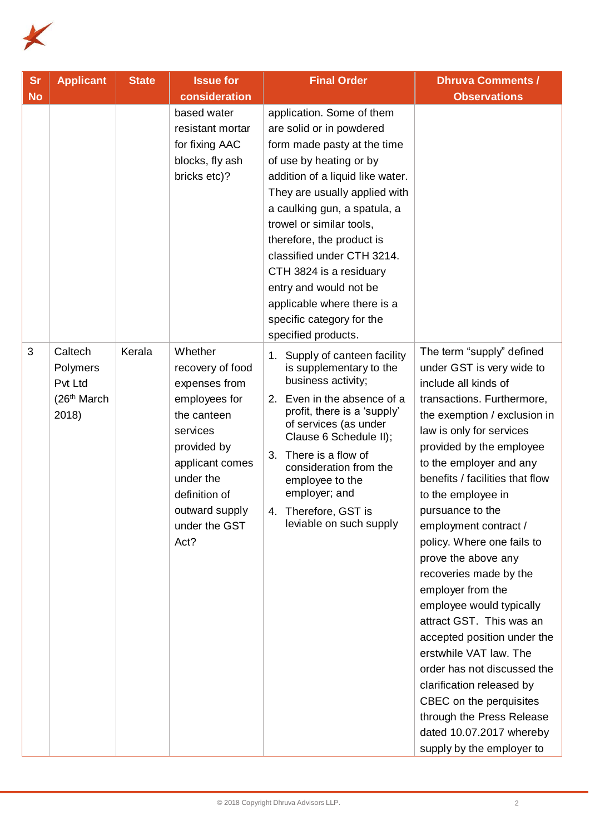

| <b>Sr</b> | <b>Applicant</b>                                                   | <b>State</b> | <b>Issue for</b>                                                                                                                                                                                    | <b>Final Order</b>                                                                                                                                                                                                                                                                                                                                                                                                                                  | <b>Dhruva Comments /</b>                                                                                                                                                                                                                                                                                                                                                                                                                                                                                                                                                                                                                                                                                                                |
|-----------|--------------------------------------------------------------------|--------------|-----------------------------------------------------------------------------------------------------------------------------------------------------------------------------------------------------|-----------------------------------------------------------------------------------------------------------------------------------------------------------------------------------------------------------------------------------------------------------------------------------------------------------------------------------------------------------------------------------------------------------------------------------------------------|-----------------------------------------------------------------------------------------------------------------------------------------------------------------------------------------------------------------------------------------------------------------------------------------------------------------------------------------------------------------------------------------------------------------------------------------------------------------------------------------------------------------------------------------------------------------------------------------------------------------------------------------------------------------------------------------------------------------------------------------|
| <b>No</b> |                                                                    |              | consideration<br>based water<br>resistant mortar<br>for fixing AAC<br>blocks, fly ash<br>bricks etc)?                                                                                               | application. Some of them<br>are solid or in powdered<br>form made pasty at the time<br>of use by heating or by<br>addition of a liquid like water.<br>They are usually applied with<br>a caulking gun, a spatula, a<br>trowel or similar tools,<br>therefore, the product is<br>classified under CTH 3214.<br>CTH 3824 is a residuary<br>entry and would not be<br>applicable where there is a<br>specific category for the<br>specified products. | <b>Observations</b>                                                                                                                                                                                                                                                                                                                                                                                                                                                                                                                                                                                                                                                                                                                     |
| 3         | Caltech<br>Polymers<br>Pvt Ltd<br>(26 <sup>th</sup> March<br>2018) | Kerala       | Whether<br>recovery of food<br>expenses from<br>employees for<br>the canteen<br>services<br>provided by<br>applicant comes<br>under the<br>definition of<br>outward supply<br>under the GST<br>Act? | Supply of canteen facility<br>1.<br>is supplementary to the<br>business activity;<br>Even in the absence of a<br>2.<br>profit, there is a 'supply'<br>of services (as under<br>Clause 6 Schedule II);<br>There is a flow of<br>3.<br>consideration from the<br>employee to the<br>employer; and<br>Therefore, GST is<br>4.<br>leviable on such supply                                                                                               | The term "supply" defined<br>under GST is very wide to<br>include all kinds of<br>transactions. Furthermore,<br>the exemption / exclusion in<br>law is only for services<br>provided by the employee<br>to the employer and any<br>benefits / facilities that flow<br>to the employee in<br>pursuance to the<br>employment contract /<br>policy. Where one fails to<br>prove the above any<br>recoveries made by the<br>employer from the<br>employee would typically<br>attract GST. This was an<br>accepted position under the<br>erstwhile VAT law. The<br>order has not discussed the<br>clarification released by<br>CBEC on the perquisites<br>through the Press Release<br>dated 10.07.2017 whereby<br>supply by the employer to |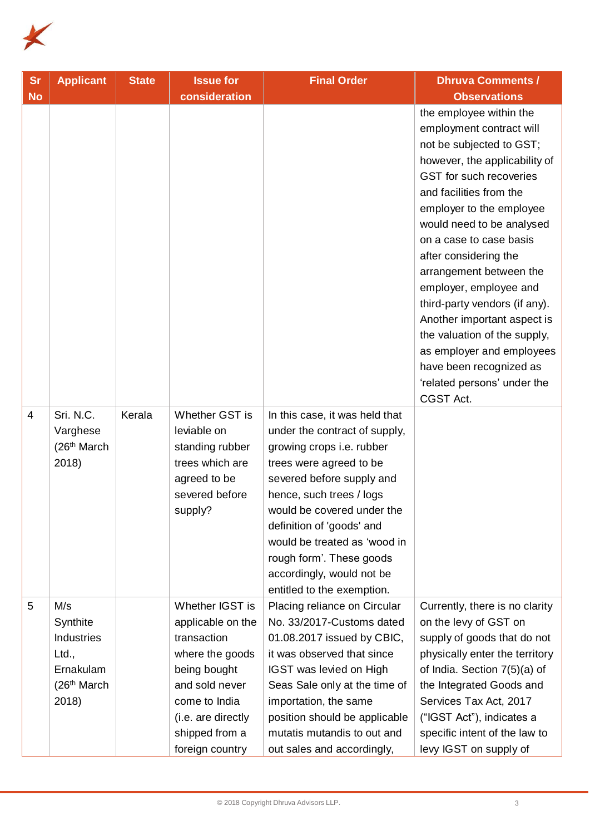

| <b>Sr</b>      | <b>Applicant</b>                                                                                | <b>State</b> | <b>Issue for</b>                                                                                                                                                                     | <b>Final Order</b>                                                                                                                                                                                                                                                                                                                                                 | <b>Dhruva Comments /</b>                                                                                                                                                                                                                                                                                                                                                                                                                                                                                                                     |
|----------------|-------------------------------------------------------------------------------------------------|--------------|--------------------------------------------------------------------------------------------------------------------------------------------------------------------------------------|--------------------------------------------------------------------------------------------------------------------------------------------------------------------------------------------------------------------------------------------------------------------------------------------------------------------------------------------------------------------|----------------------------------------------------------------------------------------------------------------------------------------------------------------------------------------------------------------------------------------------------------------------------------------------------------------------------------------------------------------------------------------------------------------------------------------------------------------------------------------------------------------------------------------------|
| <b>No</b>      |                                                                                                 |              | consideration                                                                                                                                                                        |                                                                                                                                                                                                                                                                                                                                                                    | <b>Observations</b>                                                                                                                                                                                                                                                                                                                                                                                                                                                                                                                          |
|                |                                                                                                 |              |                                                                                                                                                                                      |                                                                                                                                                                                                                                                                                                                                                                    | the employee within the<br>employment contract will<br>not be subjected to GST;<br>however, the applicability of<br>GST for such recoveries<br>and facilities from the<br>employer to the employee<br>would need to be analysed<br>on a case to case basis<br>after considering the<br>arrangement between the<br>employer, employee and<br>third-party vendors (if any).<br>Another important aspect is<br>the valuation of the supply,<br>as employer and employees<br>have been recognized as<br>'related persons' under the<br>CGST Act. |
| $\overline{4}$ | Sri. N.C.<br>Varghese<br>(26 <sup>th</sup> March<br>2018)                                       | Kerala       | Whether GST is<br>leviable on<br>standing rubber<br>trees which are<br>agreed to be<br>severed before<br>supply?                                                                     | In this case, it was held that<br>under the contract of supply,<br>growing crops i.e. rubber<br>trees were agreed to be<br>severed before supply and<br>hence, such trees / logs<br>would be covered under the<br>definition of 'goods' and<br>would be treated as 'wood in<br>rough form'. These goods<br>accordingly, would not be<br>entitled to the exemption. |                                                                                                                                                                                                                                                                                                                                                                                                                                                                                                                                              |
| 5              | M/s<br>Synthite<br><b>Industries</b><br>Ltd.,<br>Ernakulam<br>(26 <sup>th</sup> March)<br>2018) |              | Whether IGST is<br>applicable on the<br>transaction<br>where the goods<br>being bought<br>and sold never<br>come to India<br>(i.e. are directly<br>shipped from a<br>foreign country | Placing reliance on Circular<br>No. 33/2017-Customs dated<br>01.08.2017 issued by CBIC,<br>it was observed that since<br>IGST was levied on High<br>Seas Sale only at the time of<br>importation, the same<br>position should be applicable<br>mutatis mutandis to out and<br>out sales and accordingly,                                                           | Currently, there is no clarity<br>on the levy of GST on<br>supply of goods that do not<br>physically enter the territory<br>of India. Section 7(5)(a) of<br>the Integrated Goods and<br>Services Tax Act, 2017<br>("IGST Act"), indicates a<br>specific intent of the law to<br>levy IGST on supply of                                                                                                                                                                                                                                       |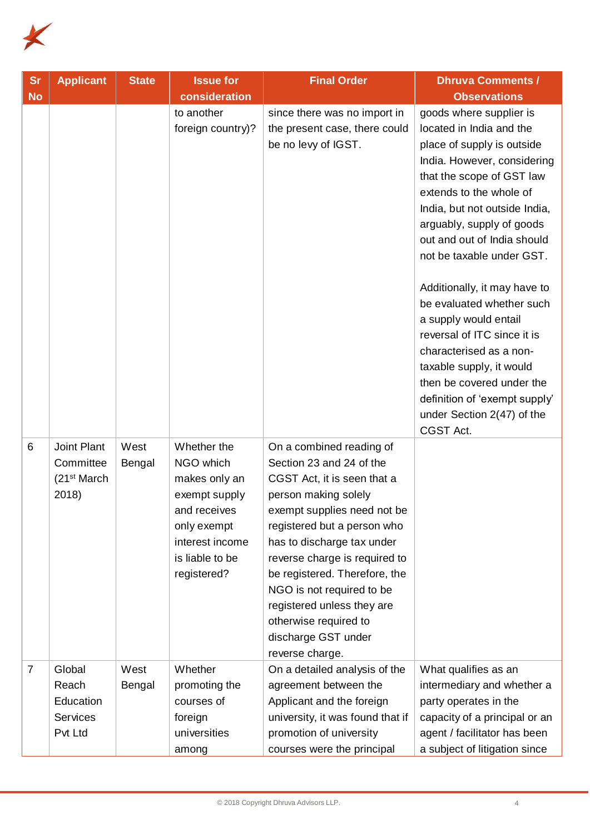

| <b>Sr</b><br><b>No</b> | <b>Applicant</b>                                              | <b>State</b>   | <b>Issue for</b><br>consideration                                                                                                              | <b>Final Order</b>                                                                                                                                                                                                                                                                                                                                                                                      | <b>Dhruva Comments /</b><br><b>Observations</b>                                                                                                                                                                                                                                                                                                                                                                                                                                                                                                                                         |
|------------------------|---------------------------------------------------------------|----------------|------------------------------------------------------------------------------------------------------------------------------------------------|---------------------------------------------------------------------------------------------------------------------------------------------------------------------------------------------------------------------------------------------------------------------------------------------------------------------------------------------------------------------------------------------------------|-----------------------------------------------------------------------------------------------------------------------------------------------------------------------------------------------------------------------------------------------------------------------------------------------------------------------------------------------------------------------------------------------------------------------------------------------------------------------------------------------------------------------------------------------------------------------------------------|
|                        |                                                               |                | to another<br>foreign country)?                                                                                                                | since there was no import in<br>the present case, there could<br>be no levy of IGST.                                                                                                                                                                                                                                                                                                                    | goods where supplier is<br>located in India and the<br>place of supply is outside<br>India. However, considering<br>that the scope of GST law<br>extends to the whole of<br>India, but not outside India,<br>arguably, supply of goods<br>out and out of India should<br>not be taxable under GST.<br>Additionally, it may have to<br>be evaluated whether such<br>a supply would entail<br>reversal of ITC since it is<br>characterised as a non-<br>taxable supply, it would<br>then be covered under the<br>definition of 'exempt supply'<br>under Section 2(47) of the<br>CGST Act. |
| 6                      | Joint Plant<br>Committee<br>(21 <sup>st</sup> March)<br>2018) | West<br>Bengal | Whether the<br>NGO which<br>makes only an<br>exempt supply<br>and receives<br>only exempt<br>interest income<br>is liable to be<br>registered? | On a combined reading of<br>Section 23 and 24 of the<br>CGST Act, it is seen that a<br>person making solely<br>exempt supplies need not be<br>registered but a person who<br>has to discharge tax under<br>reverse charge is required to<br>be registered. Therefore, the<br>NGO is not required to be<br>registered unless they are<br>otherwise required to<br>discharge GST under<br>reverse charge. |                                                                                                                                                                                                                                                                                                                                                                                                                                                                                                                                                                                         |
| $\overline{7}$         | Global<br>Reach<br>Education<br><b>Services</b><br>Pvt Ltd    | West<br>Bengal | Whether<br>promoting the<br>courses of<br>foreign<br>universities<br>among                                                                     | On a detailed analysis of the<br>agreement between the<br>Applicant and the foreign<br>university, it was found that if<br>promotion of university<br>courses were the principal                                                                                                                                                                                                                        | What qualifies as an<br>intermediary and whether a<br>party operates in the<br>capacity of a principal or an<br>agent / facilitator has been<br>a subject of litigation since                                                                                                                                                                                                                                                                                                                                                                                                           |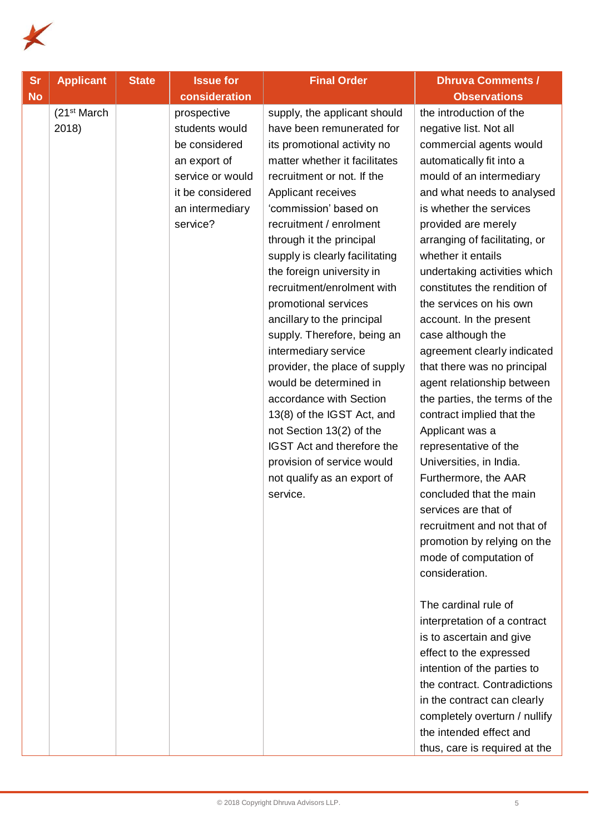

| <b>Sr</b> | <b>Applicant</b>                 | <b>State</b> | <b>Issue for</b>                                                                                                                      | <b>Final Order</b>                                                                                                                                                                                                                                                                                                                                                                                                                                                                                                                                                                                                                                                                                                             | <b>Dhruva Comments /</b>                                                                                                                                                                                                                                                                                                                                                                                                                                                                                                                                                                                                                                                                                                                                                                                                                                                                                                                                                                                                                                                                                                                               |
|-----------|----------------------------------|--------------|---------------------------------------------------------------------------------------------------------------------------------------|--------------------------------------------------------------------------------------------------------------------------------------------------------------------------------------------------------------------------------------------------------------------------------------------------------------------------------------------------------------------------------------------------------------------------------------------------------------------------------------------------------------------------------------------------------------------------------------------------------------------------------------------------------------------------------------------------------------------------------|--------------------------------------------------------------------------------------------------------------------------------------------------------------------------------------------------------------------------------------------------------------------------------------------------------------------------------------------------------------------------------------------------------------------------------------------------------------------------------------------------------------------------------------------------------------------------------------------------------------------------------------------------------------------------------------------------------------------------------------------------------------------------------------------------------------------------------------------------------------------------------------------------------------------------------------------------------------------------------------------------------------------------------------------------------------------------------------------------------------------------------------------------------|
| <b>No</b> |                                  |              | consideration                                                                                                                         |                                                                                                                                                                                                                                                                                                                                                                                                                                                                                                                                                                                                                                                                                                                                | <b>Observations</b>                                                                                                                                                                                                                                                                                                                                                                                                                                                                                                                                                                                                                                                                                                                                                                                                                                                                                                                                                                                                                                                                                                                                    |
|           | (21 <sup>st</sup> March<br>2018) |              | prospective<br>students would<br>be considered<br>an export of<br>service or would<br>it be considered<br>an intermediary<br>service? | supply, the applicant should<br>have been remunerated for<br>its promotional activity no<br>matter whether it facilitates<br>recruitment or not. If the<br>Applicant receives<br>'commission' based on<br>recruitment / enrolment<br>through it the principal<br>supply is clearly facilitating<br>the foreign university in<br>recruitment/enrolment with<br>promotional services<br>ancillary to the principal<br>supply. Therefore, being an<br>intermediary service<br>provider, the place of supply<br>would be determined in<br>accordance with Section<br>13(8) of the IGST Act, and<br>not Section 13(2) of the<br>IGST Act and therefore the<br>provision of service would<br>not qualify as an export of<br>service. | the introduction of the<br>negative list. Not all<br>commercial agents would<br>automatically fit into a<br>mould of an intermediary<br>and what needs to analysed<br>is whether the services<br>provided are merely<br>arranging of facilitating, or<br>whether it entails<br>undertaking activities which<br>constitutes the rendition of<br>the services on his own<br>account. In the present<br>case although the<br>agreement clearly indicated<br>that there was no principal<br>agent relationship between<br>the parties, the terms of the<br>contract implied that the<br>Applicant was a<br>representative of the<br>Universities, in India.<br>Furthermore, the AAR<br>concluded that the main<br>services are that of<br>recruitment and not that of<br>promotion by relying on the<br>mode of computation of<br>consideration.<br>The cardinal rule of<br>interpretation of a contract<br>is to ascertain and give<br>effect to the expressed<br>intention of the parties to<br>the contract. Contradictions<br>in the contract can clearly<br>completely overturn / nullify<br>the intended effect and<br>thus, care is required at the |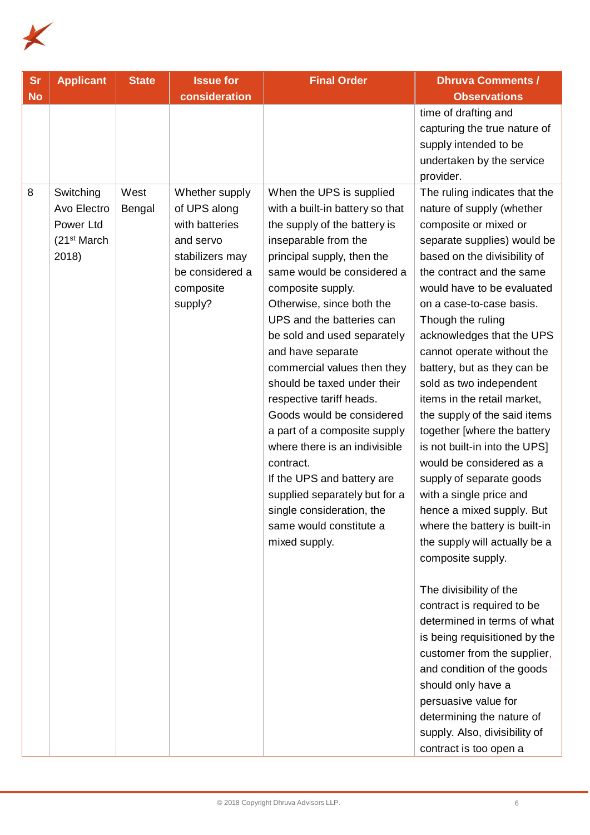

| <b>Sr</b> | <b>Applicant</b>                                                           | <b>State</b>   | <b>Issue for</b>                                                                                                            | <b>Final Order</b>                                                                                                                                                                                                                                                                                                                                                                                                                                                                                                                                                                                                                                              | <b>Dhruva Comments /</b>                                                                                                                                                                                                                                                                                                                                                                                                                                                                                                                                                                                                                                                                                                                                                                                                                                                                                                                                                                                                                              |
|-----------|----------------------------------------------------------------------------|----------------|-----------------------------------------------------------------------------------------------------------------------------|-----------------------------------------------------------------------------------------------------------------------------------------------------------------------------------------------------------------------------------------------------------------------------------------------------------------------------------------------------------------------------------------------------------------------------------------------------------------------------------------------------------------------------------------------------------------------------------------------------------------------------------------------------------------|-------------------------------------------------------------------------------------------------------------------------------------------------------------------------------------------------------------------------------------------------------------------------------------------------------------------------------------------------------------------------------------------------------------------------------------------------------------------------------------------------------------------------------------------------------------------------------------------------------------------------------------------------------------------------------------------------------------------------------------------------------------------------------------------------------------------------------------------------------------------------------------------------------------------------------------------------------------------------------------------------------------------------------------------------------|
| <b>No</b> |                                                                            |                | consideration                                                                                                               |                                                                                                                                                                                                                                                                                                                                                                                                                                                                                                                                                                                                                                                                 | <b>Observations</b>                                                                                                                                                                                                                                                                                                                                                                                                                                                                                                                                                                                                                                                                                                                                                                                                                                                                                                                                                                                                                                   |
|           |                                                                            |                |                                                                                                                             |                                                                                                                                                                                                                                                                                                                                                                                                                                                                                                                                                                                                                                                                 | time of drafting and<br>capturing the true nature of<br>supply intended to be<br>undertaken by the service<br>provider.                                                                                                                                                                                                                                                                                                                                                                                                                                                                                                                                                                                                                                                                                                                                                                                                                                                                                                                               |
| 8         | Switching<br>Avo Electro<br>Power Ltd<br>(21 <sup>st</sup> March)<br>2018) | West<br>Bengal | Whether supply<br>of UPS along<br>with batteries<br>and servo<br>stabilizers may<br>be considered a<br>composite<br>supply? | When the UPS is supplied<br>with a built-in battery so that<br>the supply of the battery is<br>inseparable from the<br>principal supply, then the<br>same would be considered a<br>composite supply.<br>Otherwise, since both the<br>UPS and the batteries can<br>be sold and used separately<br>and have separate<br>commercial values then they<br>should be taxed under their<br>respective tariff heads.<br>Goods would be considered<br>a part of a composite supply<br>where there is an indivisible<br>contract.<br>If the UPS and battery are<br>supplied separately but for a<br>single consideration, the<br>same would constitute a<br>mixed supply. | The ruling indicates that the<br>nature of supply (whether<br>composite or mixed or<br>separate supplies) would be<br>based on the divisibility of<br>the contract and the same<br>would have to be evaluated<br>on a case-to-case basis.<br>Though the ruling<br>acknowledges that the UPS<br>cannot operate without the<br>battery, but as they can be<br>sold as two independent<br>items in the retail market,<br>the supply of the said items<br>together [where the battery<br>is not built-in into the UPS]<br>would be considered as a<br>supply of separate goods<br>with a single price and<br>hence a mixed supply. But<br>where the battery is built-in<br>the supply will actually be a<br>composite supply.<br>The divisibility of the<br>contract is required to be<br>determined in terms of what<br>is being requisitioned by the<br>customer from the supplier,<br>and condition of the goods<br>should only have a<br>persuasive value for<br>determining the nature of<br>supply. Also, divisibility of<br>contract is too open a |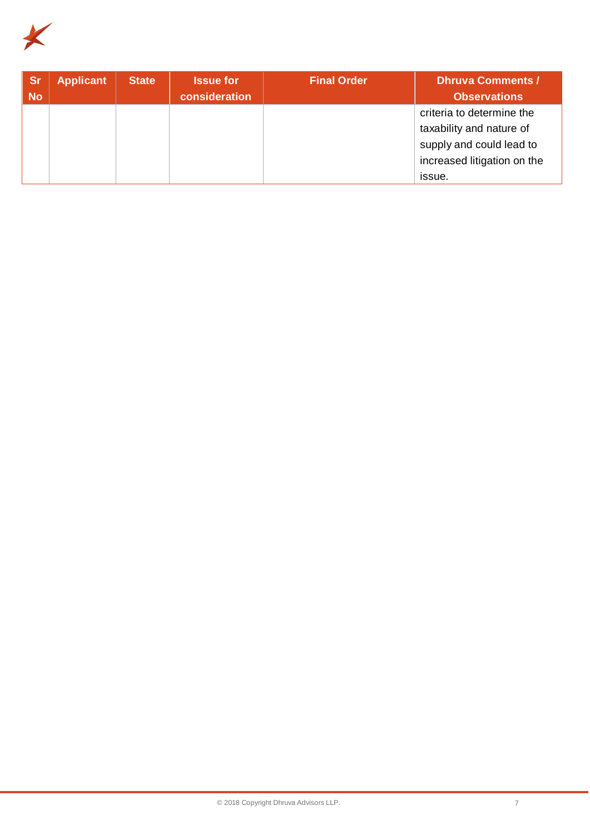

| <b>Sr</b><br><b>No</b> | <b>Applicant</b> | <b>State</b> | <b>Issue for</b><br>consideration | <b>Final Order</b> | <b>Dhruva Comments /</b><br><b>Observations</b>                                                                            |
|------------------------|------------------|--------------|-----------------------------------|--------------------|----------------------------------------------------------------------------------------------------------------------------|
|                        |                  |              |                                   |                    | criteria to determine the<br>taxability and nature of<br>supply and could lead to<br>increased litigation on the<br>issue. |